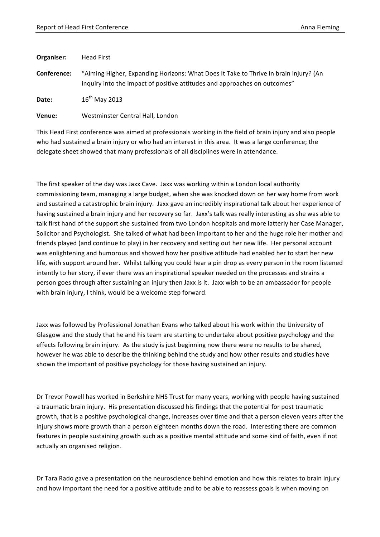| Organiser:  | Head First                                                                                                                                                        |
|-------------|-------------------------------------------------------------------------------------------------------------------------------------------------------------------|
| Conference: | "Aiming Higher, Expanding Horizons: What Does It Take to Thrive in brain injury? (An<br>inquiry into the impact of positive attitudes and approaches on outcomes" |
| Date:       | $16^{th}$ May 2013                                                                                                                                                |

**Venue:** Westminster Central Hall, London

This Head First conference was aimed at professionals working in the field of brain injury and also people who had sustained a brain injury or who had an interest in this area. It was a large conference; the delegate sheet showed that many professionals of all disciplines were in attendance.

The first speaker of the day was Jaxx Cave. Jaxx was working within a London local authority commissioning team, managing a large budget, when she was knocked down on her way home from work and sustained a catastrophic brain injury. Jaxx gave an incredibly inspirational talk about her experience of having sustained a brain injury and her recovery so far. Jaxx's talk was really interesting as she was able to talk first hand of the support she sustained from two London hospitals and more latterly her Case Manager, Solicitor and Psychologist. She talked of what had been important to her and the huge role her mother and friends played (and continue to play) in her recovery and setting out her new life. Her personal account was enlightening and humorous and showed how her positive attitude had enabled her to start her new life, with support around her. Whilst talking you could hear a pin drop as every person in the room listened intently to her story, if ever there was an inspirational speaker needed on the processes and strains a person goes through after sustaining an injury then Jaxx is it. Jaxx wish to be an ambassador for people with brain injury, I think, would be a welcome step forward.

Jaxx was followed by Professional Jonathan Evans who talked about his work within the University of Glasgow and the study that he and his team are starting to undertake about positive psychology and the effects following brain injury. As the study is just beginning now there were no results to be shared, however he was able to describe the thinking behind the study and how other results and studies have shown the important of positive psychology for those having sustained an injury.

Dr Trevor Powell has worked in Berkshire NHS Trust for many years, working with people having sustained a traumatic brain injury. His presentation discussed his findings that the potential for post traumatic growth, that is a positive psychological change, increases over time and that a person eleven years after the injury shows more growth than a person eighteen months down the road. Interesting there are common features in people sustaining growth such as a positive mental attitude and some kind of faith, even if not actually an organised religion.

Dr Tara Rado gave a presentation on the neuroscience behind emotion and how this relates to brain injury and how important the need for a positive attitude and to be able to reassess goals is when moving on